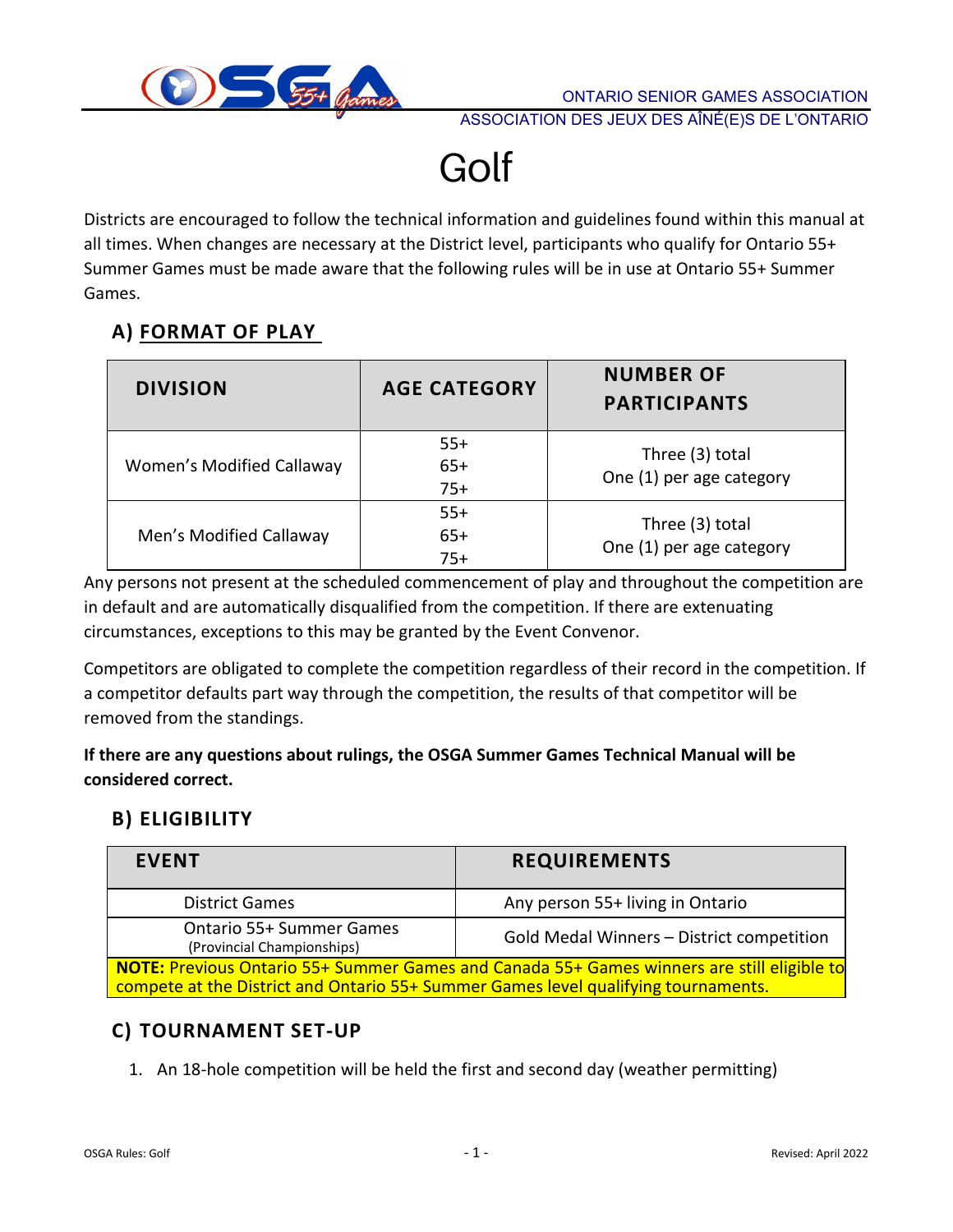

Golf

Districts are encouraged to follow the technical information and guidelines found within this manual at all times. When changes are necessary at the District level, participants who qualify for Ontario 55+ Summer Games must be made aware that the following rules will be in use at Ontario 55+ Summer Games.

## **A) FORMAT OF PLAY**

| <b>DIVISION</b>           | <b>AGE CATEGORY</b>     | <b>NUMBER OF</b><br><b>PARTICIPANTS</b>     |  |  |  |  |  |
|---------------------------|-------------------------|---------------------------------------------|--|--|--|--|--|
| Women's Modified Callaway | $55+$<br>$65+$<br>$75+$ | Three (3) total<br>One (1) per age category |  |  |  |  |  |
| Men's Modified Callaway   | $55+$<br>$65+$<br>$75+$ | Three (3) total<br>One (1) per age category |  |  |  |  |  |

Any persons not present at the scheduled commencement of play and throughout the competition are in default and are automatically disqualified from the competition. If there are extenuating circumstances, exceptions to this may be granted by the Event Convenor.

Competitors are obligated to complete the competition regardless of their record in the competition. If a competitor defaults part way through the competition, the results of that competitor will be removed from the standings.

**If there are any questions about rulings, the OSGA Summer Games Technical Manual will be considered correct.**

## **B) ELIGIBILITY**

| <b>EVENT</b>                                                                                                                                                                     | <b>REQUIREMENTS</b>                       |  |  |  |  |  |  |
|----------------------------------------------------------------------------------------------------------------------------------------------------------------------------------|-------------------------------------------|--|--|--|--|--|--|
| <b>District Games</b>                                                                                                                                                            | Any person 55+ living in Ontario          |  |  |  |  |  |  |
| <b>Ontario 55+ Summer Games</b><br>(Provincial Championships)                                                                                                                    | Gold Medal Winners - District competition |  |  |  |  |  |  |
| NOTE: Previous Ontario 55+ Summer Games and Canada 55+ Games winners are still eligible to<br>compete at the District and Ontario 55+ Summer Games level qualifying tournaments. |                                           |  |  |  |  |  |  |

## **C) TOURNAMENT SET-UP**

1. An 18-hole competition will be held the first and second day (weather permitting)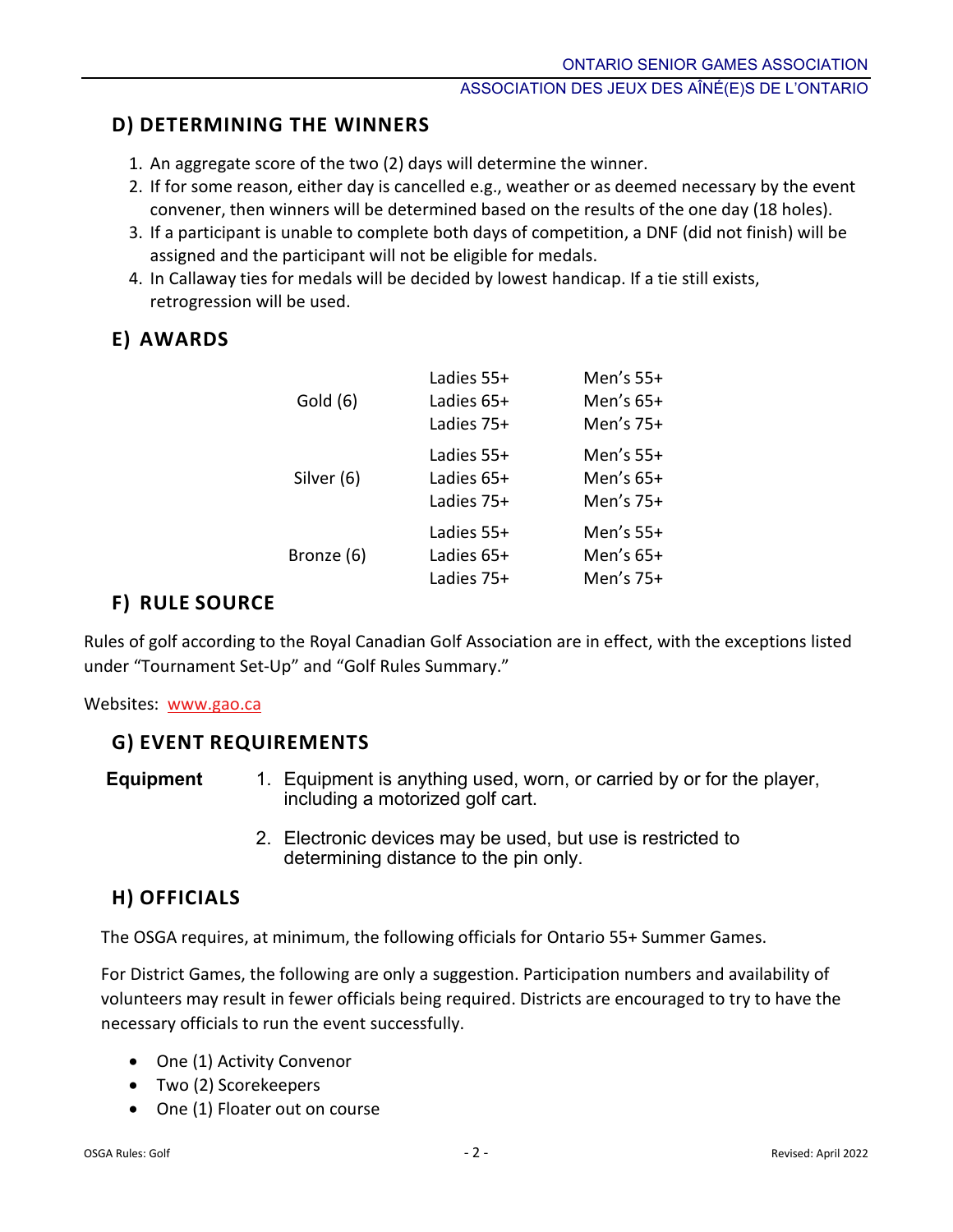## **D) DETERMINING THE WINNERS**

- 1. An aggregate score of the two (2) days will determine the winner.
- 2. If for some reason, either day is cancelled e.g., weather or as deemed necessary by the event convener, then winners will be determined based on the results of the one day (18 holes).
- 3. If a participant is unable to complete both days of competition, a DNF (did not finish) will be assigned and the participant will not be eligible for medals.
- 4. In Callaway ties for medals will be decided by lowest handicap. If a tie still exists, retrogression will be used.

## **E) AWARDS**

| Ladies 55+ | Men's $55+$ |
|------------|-------------|
| Ladies 65+ | Men's 65+   |
| Ladies 75+ | Men's 75+   |
| Ladies 55+ | Men's $55+$ |
| Ladies 65+ | Men's $65+$ |
| Ladies 75+ | Men's $75+$ |
| Ladies 55+ | Men's $55+$ |
| Ladies 65+ | Men's $65+$ |
| Ladies 75+ | Men's 75+   |
|            |             |

## **F) RULE SOURCE**

Rules of golf according to the Royal Canadian Golf Association are in effect, with the exceptions listed under "Tournament Set-Up" and "Golf Rules Summary."

Websites: <www.gao.ca>

## **G) EVENT REQUIREMENTS**

- **Equipment** 1. Equipment is anything used, worn, or carried by or for the player, including a motorized golf cart.
	- 2. Electronic devices may be used, but use is restricted to determining distance to the pin only.

## **H) OFFICIALS**

The OSGA requires, at minimum, the following officials for Ontario 55+ Summer Games.

For District Games, the following are only a suggestion. Participation numbers and availability of volunteers may result in fewer officials being required. Districts are encouraged to try to have the necessary officials to run the event successfully.

- One (1) Activity Convenor
- Two (2) Scorekeepers
- One (1) Floater out on course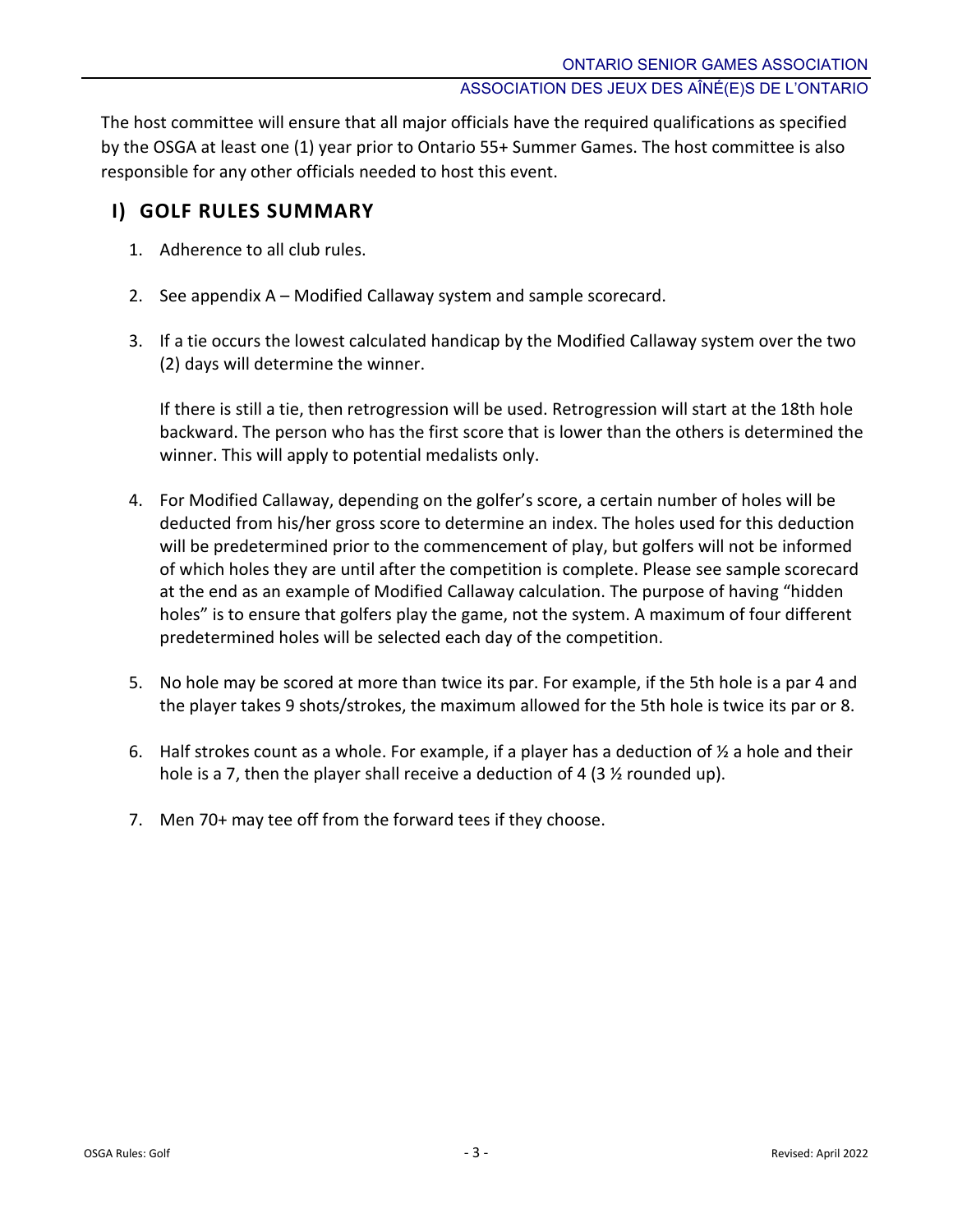The host committee will ensure that all major officials have the required qualifications as specified by the OSGA at least one (1) year prior to Ontario 55+ Summer Games. The host committee is also responsible for any other officials needed to host this event.

## **I) GOLF RULES SUMMARY**

- 1. Adherence to all club rules.
- 2. See appendix A Modified Callaway system and sample scorecard.
- 3. If a tie occurs the lowest calculated handicap by the Modified Callaway system over the two (2) days will determine the winner.

If there is still a tie, then retrogression will be used. Retrogression will start at the 18th hole backward. The person who has the first score that is lower than the others is determined the winner. This will apply to potential medalists only.

- 4. For Modified Callaway, depending on the golfer's score, a certain number of holes will be deducted from his/her gross score to determine an index. The holes used for this deduction will be predetermined prior to the commencement of play, but golfers will not be informed of which holes they are until after the competition is complete. Please see sample scorecard at the end as an example of Modified Callaway calculation. The purpose of having "hidden holes" is to ensure that golfers play the game, not the system. A maximum of four different predetermined holes will be selected each day of the competition.
- 5. No hole may be scored at more than twice its par. For example, if the 5th hole is a par 4 and the player takes 9 shots/strokes, the maximum allowed for the 5th hole is twice its par or 8.
- 6. Half strokes count as a whole. For example, if a player has a deduction of  $\frac{1}{2}$  a hole and their hole is a 7, then the player shall receive a deduction of 4 (3  $\frac{1}{2}$  rounded up).
- 7. Men 70+ may tee off from the forward tees if they choose.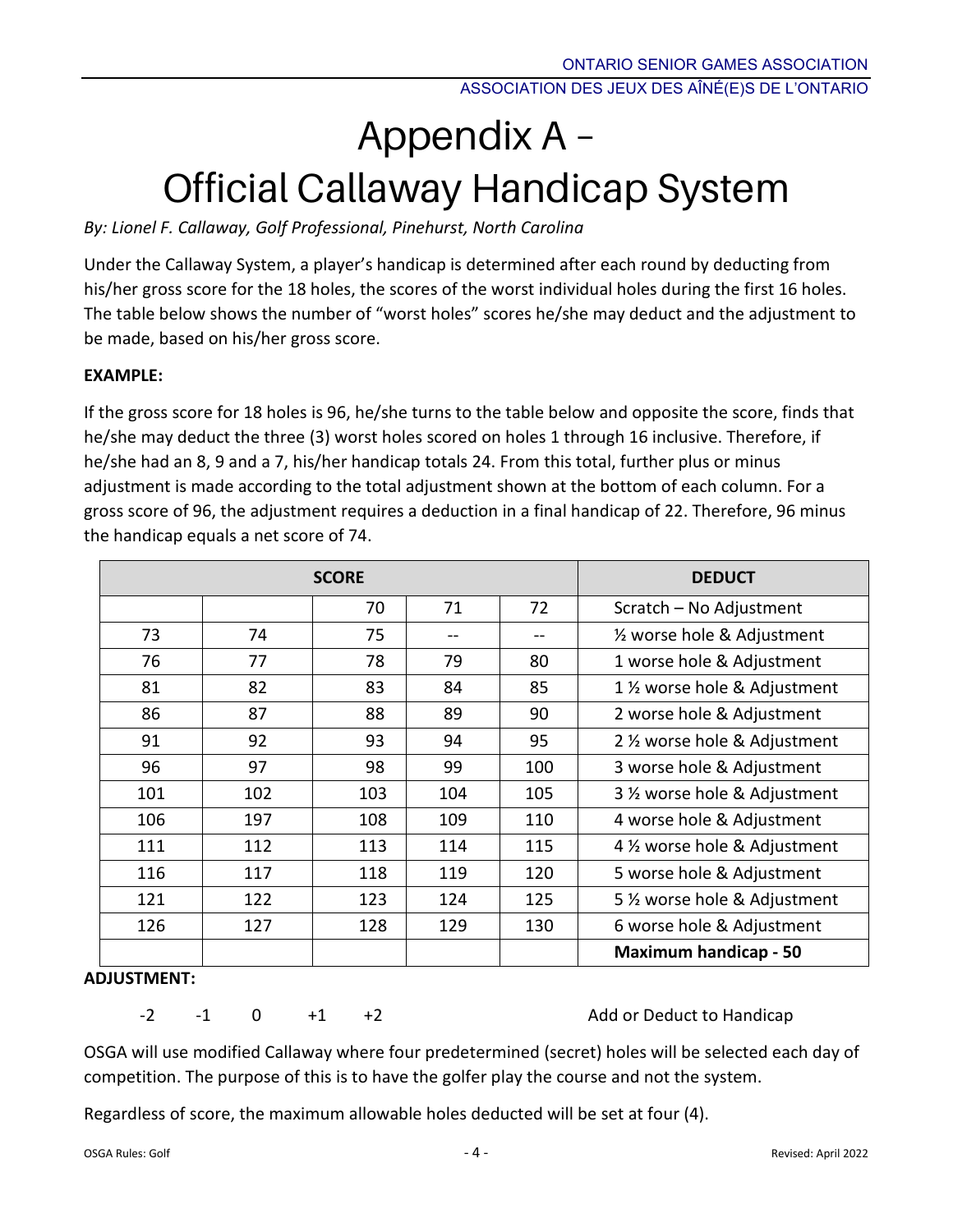# Appendix A – Official Callaway Handicap System

*By: Lionel F. Callaway, Golf Professional, Pinehurst, North Carolina*

Under the Callaway System, a player's handicap is determined after each round by deducting from his/her gross score for the 18 holes, the scores of the worst individual holes during the first 16 holes. The table below shows the number of "worst holes" scores he/she may deduct and the adjustment to be made, based on his/her gross score.

### **EXAMPLE:**

If the gross score for 18 holes is 96, he/she turns to the table below and opposite the score, finds that he/she may deduct the three (3) worst holes scored on holes 1 through 16 inclusive. Therefore, if he/she had an 8, 9 and a 7, his/her handicap totals 24. From this total, further plus or minus adjustment is made according to the total adjustment shown at the bottom of each column. For a gross score of 96, the adjustment requires a deduction in a final handicap of 22. Therefore, 96 minus the handicap equals a net score of 74.

|     |     | <b>SCORE</b> |     |     | <b>DEDUCT</b>                 |
|-----|-----|--------------|-----|-----|-------------------------------|
|     |     | 70           | 71  | 72  | Scratch - No Adjustment       |
| 73  | 74  | 75           | $-$ |     | 1/2 worse hole & Adjustment   |
| 76  | 77  | 78           | 79  | 80  | 1 worse hole & Adjustment     |
| 81  | 82  | 83           | 84  | 85  | 1 1/2 worse hole & Adjustment |
| 86  | 87  | 88           | 89  | 90  | 2 worse hole & Adjustment     |
| 91  | 92  | 93           | 94  | 95  | 2 1/2 worse hole & Adjustment |
| 96  | 97  | 98           | 99  | 100 | 3 worse hole & Adjustment     |
| 101 | 102 | 103          | 104 | 105 | 3 1/2 worse hole & Adjustment |
| 106 | 197 | 108          | 109 | 110 | 4 worse hole & Adjustment     |
| 111 | 112 | 113          | 114 | 115 | 4 1/2 worse hole & Adjustment |
| 116 | 117 | 118          | 119 | 120 | 5 worse hole & Adjustment     |
| 121 | 122 | 123          | 124 | 125 | 5 % worse hole & Adjustment   |
| 126 | 127 | 128          | 129 | 130 | 6 worse hole & Adjustment     |
|     |     |              |     |     | <b>Maximum handicap - 50</b>  |

### **ADJUSTMENT:**

-2 -1 0 +1 +2 Add or Deduct to Handicap

OSGA will use modified Callaway where four predetermined (secret) holes will be selected each day of competition. The purpose of this is to have the golfer play the course and not the system.

Regardless of score, the maximum allowable holes deducted will be set at four (4).